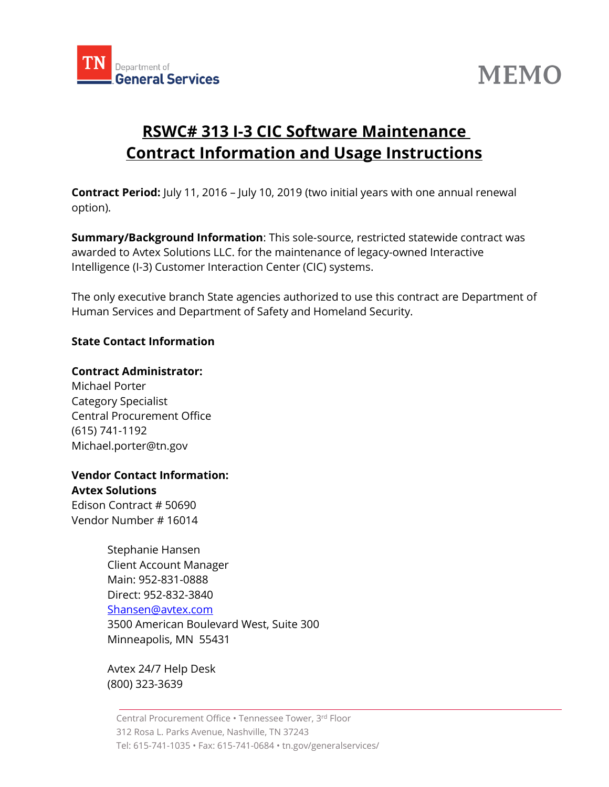



# **RSWC# 313 I-3 CIC Software Maintenance Contract Information and Usage Instructions**

**Contract Period:** July 11, 2016 – July 10, 2019 (two initial years with one annual renewal option).

**Summary/Background Information**: This sole-source, restricted statewide contract was awarded to Avtex Solutions LLC. for the maintenance of legacy-owned Interactive Intelligence (I-3) Customer Interaction Center (CIC) systems.

The only executive branch State agencies authorized to use this contract are Department of Human Services and Department of Safety and Homeland Security.

### **State Contact Information**

#### **Contract Administrator:**

Michael Porter Category Specialist Central Procurement Office (615) 741-1192 Michael.porter@tn.gov

#### **Vendor Contact Information: Avtex Solutions**

Edison Contract # [50690](javascript:submitAction_win0(document.win0,) Vendor Number # 16014

> Stephanie Hansen Client Account Manager Main: 952-831-0888 Direct: 952-832-3840 [Shansen@avtex.com](mailto:Shansen@avtex.com) 3500 American Boulevard West, Suite 300 Minneapolis, MN 55431

Avtex 24/7 Help Desk (800) 323-3639